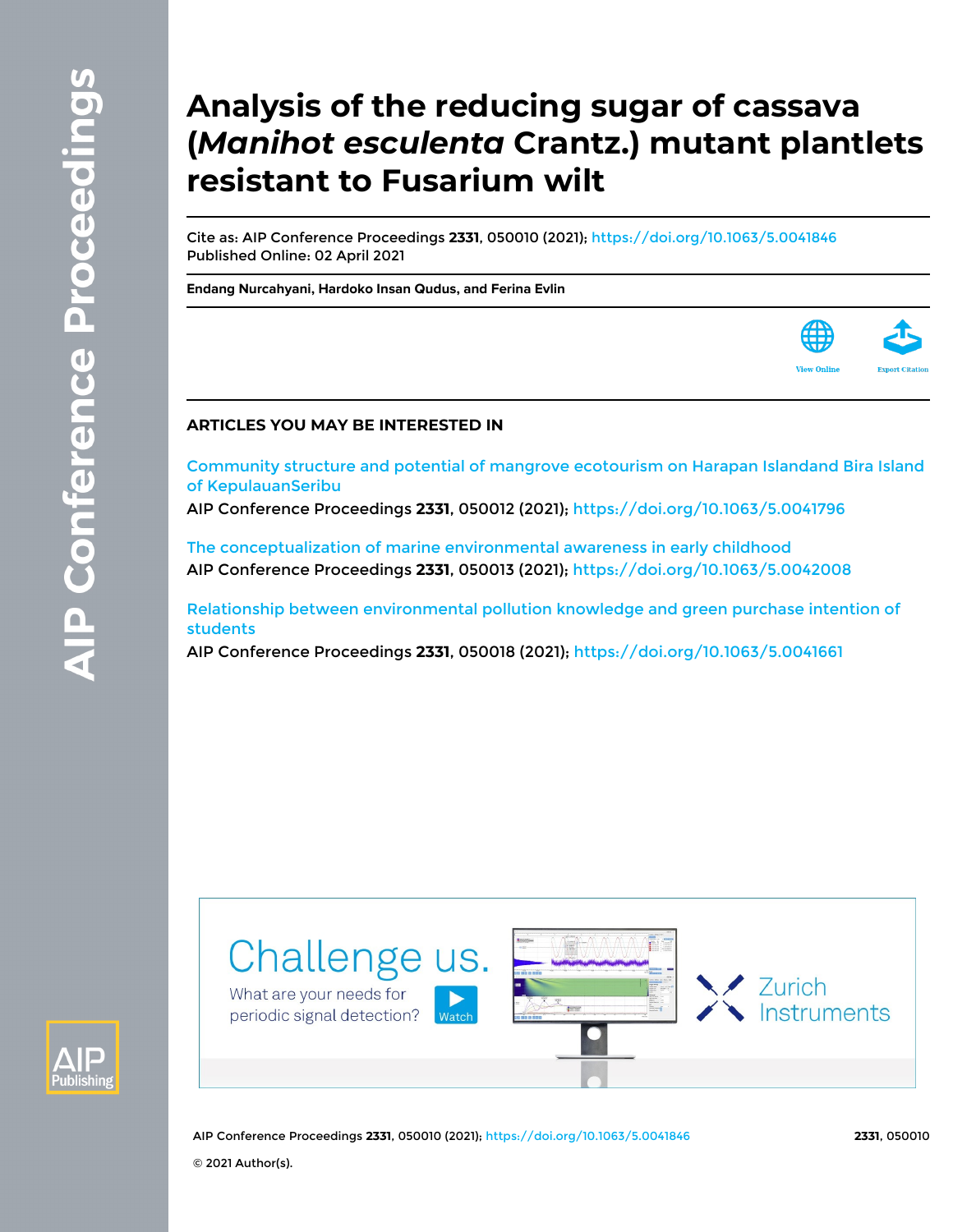# **Analysis of the reducing sugar of cassava (***Manihot esculenta* **Crantz.) mutant plantlets resistant to Fusarium wilt**

Cite as: AIP Conference Proceedings **2331**, 050010 (2021);<https://doi.org/10.1063/5.0041846> Published Online: 02 April 2021

**[Endang Nurcahyani](https://aip.scitation.org/author/Nurcahyani%2C+Endang), [Hardoko Insan Qudus](https://aip.scitation.org/author/Qudus%2C+Hardoko+Insan), and [Ferina Evlin](https://aip.scitation.org/author/Evlin%2C+Ferina)**



### **ARTICLES YOU MAY BE INTERESTED IN**

[Community structure and potential of mangrove ecotourism on Harapan Islandand Bira Island](https://aip.scitation.org/doi/10.1063/5.0041796) [of KepulauanSeribu](https://aip.scitation.org/doi/10.1063/5.0041796)

AIP Conference Proceedings **2331**, 050012 (2021);<https://doi.org/10.1063/5.0041796>

[The conceptualization of marine environmental awareness in early childhood](https://aip.scitation.org/doi/10.1063/5.0042008) AIP Conference Proceedings **2331**, 050013 (2021);<https://doi.org/10.1063/5.0042008>

[Relationship between environmental pollution knowledge and green purchase intention of](https://aip.scitation.org/doi/10.1063/5.0041661) [students](https://aip.scitation.org/doi/10.1063/5.0041661)

AIP Conference Proceedings **2331**, 050018 (2021); <https://doi.org/10.1063/5.0041661>





AIP Conference Proceedings **2331**, 050010 (2021);<https://doi.org/10.1063/5.0041846> **2331**, 050010

© 2021 Author(s).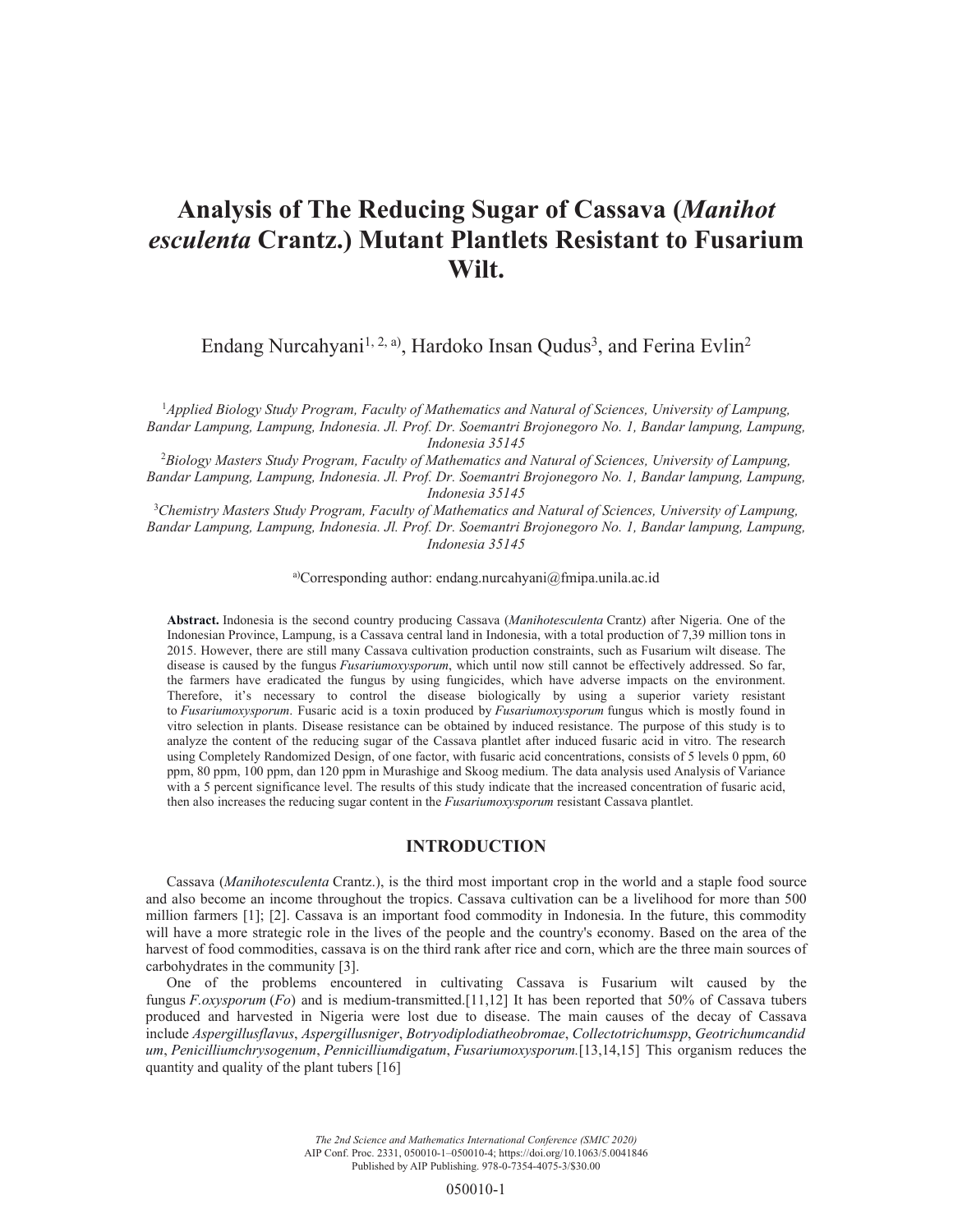## **Analysis of The Reducing Sugar of Cassava (***Manihot esculenta* **Crantz.) Mutant Plantlets Resistant to Fusarium Wilt.**

Endang Nurcahyani<sup>1, 2, a)</sup>, Hardoko Insan Qudus<sup>3</sup>, and Ferina Evlin<sup>2</sup>

<sup>1</sup>Applied Biology Study Program, Faculty of Mathematics and Natural of Sciences, University of Lampung, *Bandar Lampung, Lampung, Indonesia. Jl. Prof. Dr. Soemantri Brojonegoro No. 1, Bandar lampung, Lampung, Indonesia 35145* 

2 *Biology Masters Study Program, Faculty of Mathematics and Natural of Sciences, University of Lampung, Bandar Lampung, Lampung, Indonesia. Jl. Prof. Dr. Soemantri Brojonegoro No. 1, Bandar lampung, Lampung, Indonesia 35145* 

3 *Chemistry Masters Study Program, Faculty of Mathematics and Natural of Sciences, University of Lampung, Bandar Lampung, Lampung, Indonesia. Jl. Prof. Dr. Soemantri Brojonegoro No. 1, Bandar lampung, Lampung, Indonesia 35145* 

a)Corresponding author: endang.nurcahyani@fmipa.unila.ac.id

**Abstract.** Indonesia is the second country producing Cassava (*Manihotesculenta* Crantz) after Nigeria. One of the Indonesian Province, Lampung, is a Cassava central land in Indonesia, with a total production of 7,39 million tons in 2015. However, there are still many Cassava cultivation production constraints, such as Fusarium wilt disease. The disease is caused by the fungus *Fusariumoxysporum*, which until now still cannot be effectively addressed. So far, the farmers have eradicated the fungus by using fungicides, which have adverse impacts on the environment. Therefore, it's necessary to control the disease biologically by using a superior variety resistant to *Fusariumoxysporum*. Fusaric acid is a toxin produced by *Fusariumoxysporum* fungus which is mostly found in vitro selection in plants. Disease resistance can be obtained by induced resistance. The purpose of this study is to analyze the content of the reducing sugar of the Cassava plantlet after induced fusaric acid in vitro. The research using Completely Randomized Design, of one factor, with fusaric acid concentrations, consists of 5 levels 0 ppm, 60 ppm, 80 ppm, 100 ppm, dan 120 ppm in Murashige and Skoog medium. The data analysis used Analysis of Variance with a 5 percent significance level. The results of this study indicate that the increased concentration of fusaric acid, then also increases the reducing sugar content in the *Fusariumoxysporum* resistant Cassava plantlet.

#### **INTRODUCTION**

Cassava (*Manihotesculenta* Crantz.), is the third most important crop in the world and a staple food source and also become an income throughout the tropics. Cassava cultivation can be a livelihood for more than 500 million farmers [1]; [2]. Cassava is an important food commodity in Indonesia. In the future, this commodity will have a more strategic role in the lives of the people and the country's economy. Based on the area of the harvest of food commodities, cassava is on the third rank after rice and corn, which are the three main sources of carbohydrates in the community [3].

One of the problems encountered in cultivating Cassava is Fusarium wilt caused by the fungus *F.oxysporum* (*Fo*) and is medium-transmitted.[11,12] It has been reported that 50% of Cassava tubers produced and harvested in Nigeria were lost due to disease. The main causes of the decay of Cassava include *Aspergillusflavus*, *Aspergillusniger*, *Botryodiplodiatheobromae*, *Collectotrichumspp*, *Geotrichumcandid um*, *Penicilliumchrysogenum*, *Pennicilliumdigatum*, *Fusariumoxysporum.*[13,14,15] This organism reduces the quantity and quality of the plant tubers [16]

> *The 2nd Science and Mathematics International Conference (SMIC 2020)* AIP Conf. Proc. 2331, 050010-1–050010-4; https://doi.org/10.1063/5.0041846 Published by AIP Publishing. 978-0-7354-4075-3/\$30.00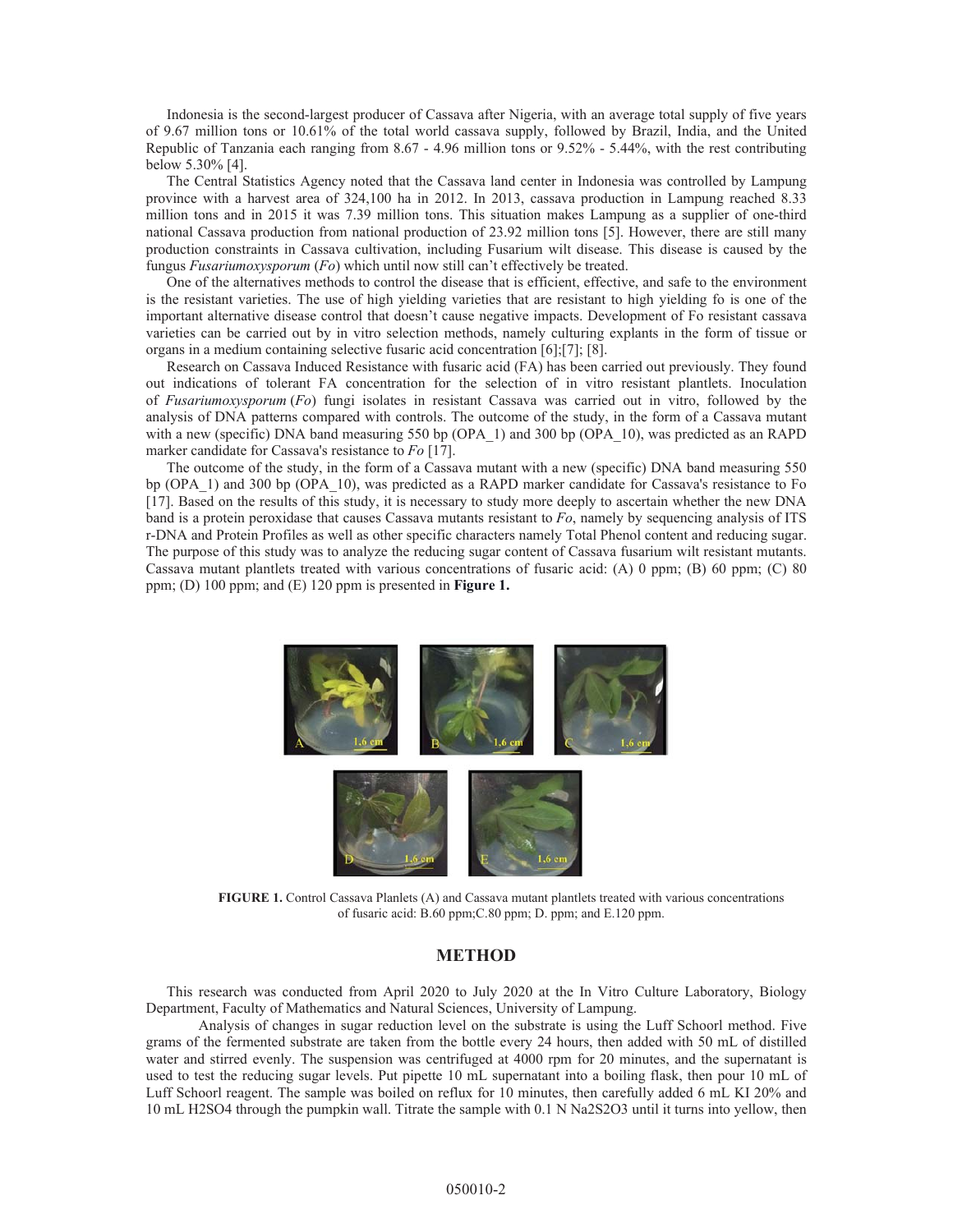Indonesia is the second-largest producer of Cassava after Nigeria, with an average total supply of five years of 9.67 million tons or 10.61% of the total world cassava supply, followed by Brazil, India, and the United Republic of Tanzania each ranging from 8.67 - 4.96 million tons or 9.52% - 5.44%, with the rest contributing below 5.30% [4].

The Central Statistics Agency noted that the Cassava land center in Indonesia was controlled by Lampung province with a harvest area of 324,100 ha in 2012. In 2013, cassava production in Lampung reached 8.33 million tons and in 2015 it was 7.39 million tons. This situation makes Lampung as a supplier of one-third national Cassava production from national production of 23.92 million tons [5]. However, there are still many production constraints in Cassava cultivation, including Fusarium wilt disease. This disease is caused by the fungus *Fusariumoxysporum* (*Fo*) which until now still can't effectively be treated.

One of the alternatives methods to control the disease that is efficient, effective, and safe to the environment is the resistant varieties. The use of high yielding varieties that are resistant to high yielding fo is one of the important alternative disease control that doesn't cause negative impacts. Development of Fo resistant cassava varieties can be carried out by in vitro selection methods, namely culturing explants in the form of tissue or organs in a medium containing selective fusaric acid concentration [6];[7]; [8].

Research on Cassava Induced Resistance with fusaric acid (FA) has been carried out previously. They found out indications of tolerant FA concentration for the selection of in vitro resistant plantlets. Inoculation of *Fusariumoxysporum* (*Fo*) fungi isolates in resistant Cassava was carried out in vitro, followed by the analysis of DNA patterns compared with controls. The outcome of the study, in the form of a Cassava mutant with a new (specific) DNA band measuring 550 bp (OPA\_1) and 300 bp (OPA\_10), was predicted as an RAPD marker candidate for Cassava's resistance to *Fo* [17].

The outcome of the study, in the form of a Cassava mutant with a new (specific) DNA band measuring 550 bp (OPA\_1) and 300 bp (OPA\_10), was predicted as a RAPD marker candidate for Cassava's resistance to Fo [17]. Based on the results of this study, it is necessary to study more deeply to ascertain whether the new DNA band is a protein peroxidase that causes Cassava mutants resistant to *Fo*, namely by sequencing analysis of ITS r-DNA and Protein Profiles as well as other specific characters namely Total Phenol content and reducing sugar. The purpose of this study was to analyze the reducing sugar content of Cassava fusarium wilt resistant mutants. Cassava mutant plantlets treated with various concentrations of fusaric acid: (A) 0 ppm; (B) 60 ppm; (C) 80 ppm; (D) 100 ppm; and (E) 120 ppm is presented in **Figure 1.** 



**FIGURE 1.** Control Cassava Planlets (A) and Cassava mutant plantlets treated with various concentrations of fusaric acid: B.60 ppm;C.80 ppm; D. ppm; and E.120 ppm.

#### **METHOD**

This research was conducted from April 2020 to July 2020 at the In Vitro Culture Laboratory, Biology Department, Faculty of Mathematics and Natural Sciences, University of Lampung.

Analysis of changes in sugar reduction level on the substrate is using the Luff Schoorl method. Five grams of the fermented substrate are taken from the bottle every 24 hours, then added with 50 mL of distilled water and stirred evenly. The suspension was centrifuged at 4000 rpm for 20 minutes, and the supernatant is used to test the reducing sugar levels. Put pipette 10 mL supernatant into a boiling flask, then pour 10 mL of Luff Schoorl reagent. The sample was boiled on reflux for 10 minutes, then carefully added 6 mL KI 20% and 10 mL H2SO4 through the pumpkin wall. Titrate the sample with 0.1 N Na2S2O3 until it turns into yellow, then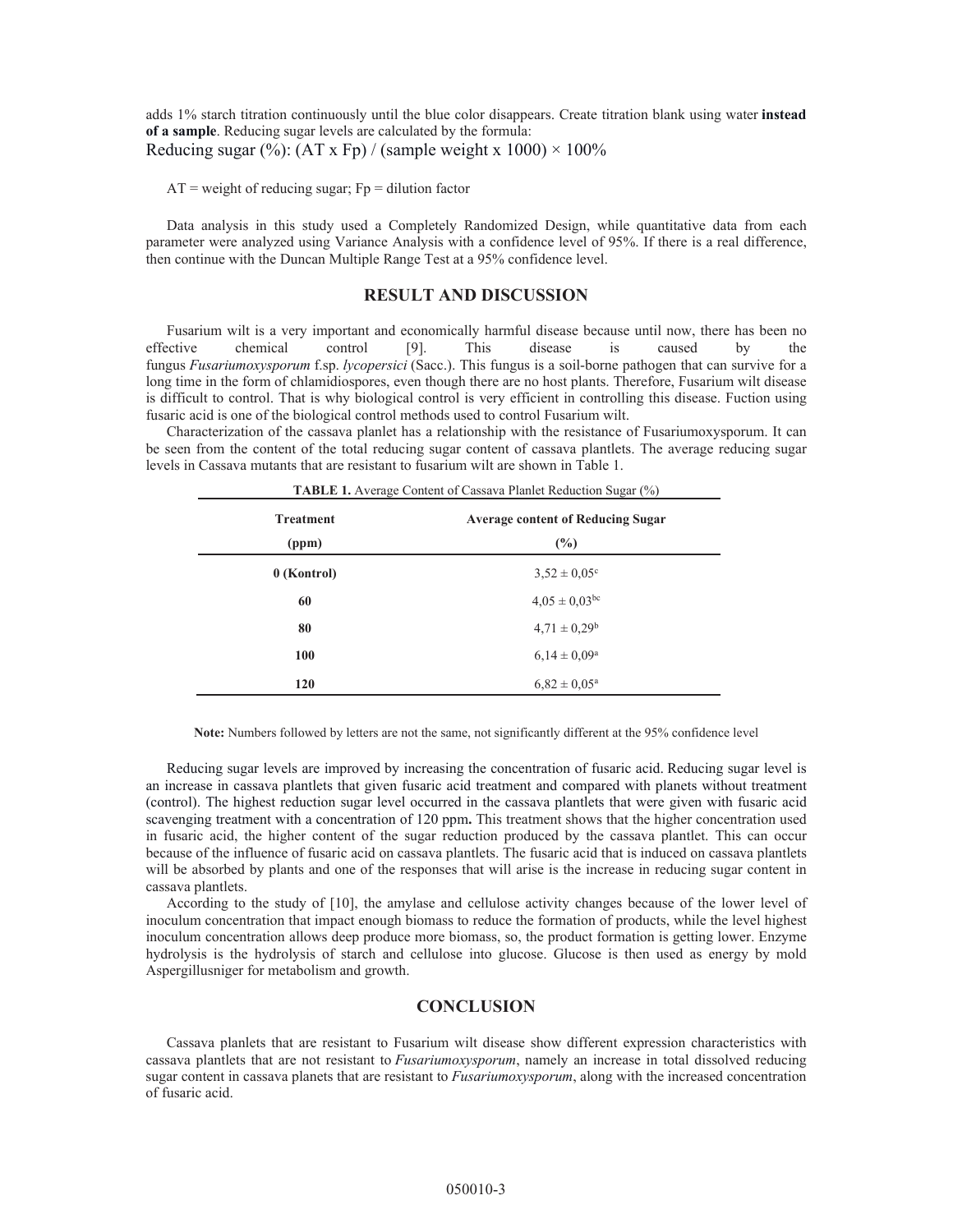adds 1% starch titration continuously until the blue color disappears. Create titration blank using water **instead of a sample**. Reducing sugar levels are calculated by the formula: Reducing sugar  $\frac{9}{6}$ : (AT x Fp) / (sample weight x 1000)  $\times$  100%

 $AT = weight of reducing sugar; Fp = dilution factor$ 

Data analysis in this study used a Completely Randomized Design, while quantitative data from each parameter were analyzed using Variance Analysis with a confidence level of 95%. If there is a real difference, then continue with the Duncan Multiple Range Test at a 95% confidence level.

#### **RESULT AND DISCUSSION**

Fusarium wilt is a very important and economically harmful disease because until now, there has been no effective chemical control [9]. This disease is caused by the fungus *Fusariumoxysporum* f.sp. *lycopersici* (Sacc.). This fungus is a soil-borne pathogen that can survive for a long time in the form of chlamidiospores, even though there are no host plants. Therefore, Fusarium wilt disease is difficult to control. That is why biological control is very efficient in controlling this disease. Fuction using fusaric acid is one of the biological control methods used to control Fusarium wilt.

Characterization of the cassava planlet has a relationship with the resistance of Fusariumoxysporum. It can be seen from the content of the total reducing sugar content of cassava plantlets. The average reducing sugar levels in Cassava mutants that are resistant to fusarium wilt are shown in Table 1.

| <b>TABLE 1.</b> Average Content of Cassava Planlet Reduction Sugar (%) |                                          |
|------------------------------------------------------------------------|------------------------------------------|
| <b>Treatment</b>                                                       | <b>Average content of Reducing Sugar</b> |
| (ppm)                                                                  | $(\%)$                                   |
| 0 (Kontrol)                                                            | $3.52 \pm 0.05$ <sup>c</sup>             |
| 60                                                                     | $4.05 \pm 0.03$ bc                       |
| 80                                                                     | $4.71 \pm 0.29^b$                        |
| <b>100</b>                                                             | $6.14 \pm 0.09^{\rm a}$                  |
| 120                                                                    | $6.82 \pm 0.05^{\text{a}}$               |

**Note:** Numbers followed by letters are not the same, not significantly different at the 95% confidence level

Reducing sugar levels are improved by increasing the concentration of fusaric acid. Reducing sugar level is an increase in cassava plantlets that given fusaric acid treatment and compared with planets without treatment (control). The highest reduction sugar level occurred in the cassava plantlets that were given with fusaric acid scavenging treatment with a concentration of 120 ppm**.** This treatment shows that the higher concentration used in fusaric acid, the higher content of the sugar reduction produced by the cassava plantlet. This can occur because of the influence of fusaric acid on cassava plantlets. The fusaric acid that is induced on cassava plantlets will be absorbed by plants and one of the responses that will arise is the increase in reducing sugar content in cassava plantlets.

According to the study of [10], the amylase and cellulose activity changes because of the lower level of inoculum concentration that impact enough biomass to reduce the formation of products, while the level highest inoculum concentration allows deep produce more biomass, so, the product formation is getting lower. Enzyme hydrolysis is the hydrolysis of starch and cellulose into glucose. Glucose is then used as energy by mold Aspergillusniger for metabolism and growth.

#### **CONCLUSION**

Cassava planlets that are resistant to Fusarium wilt disease show different expression characteristics with cassava plantlets that are not resistant to *Fusariumoxysporum*, namely an increase in total dissolved reducing sugar content in cassava planets that are resistant to *Fusariumoxysporum*, along with the increased concentration of fusaric acid.